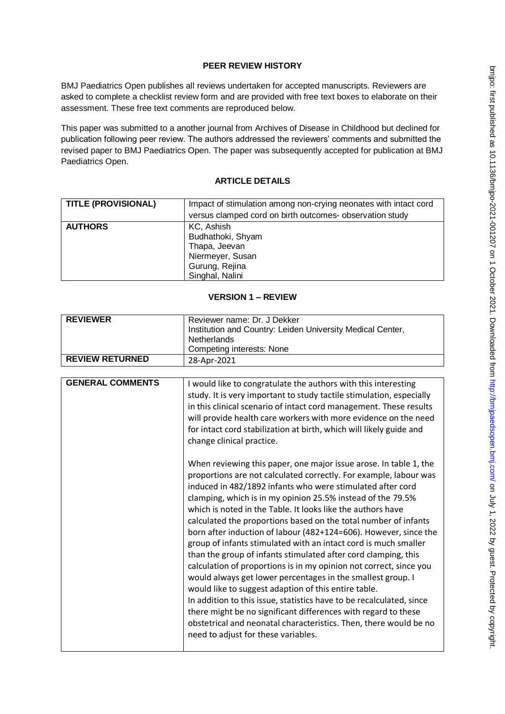## **PEER REVIEW HISTORY**

BMJ Paediatrics Open publishes all reviews undertaken for accepted manuscripts. Reviewers are asked to complete a checklist review form and are provided with free text boxes to elaborate on their assessment. These free text comments are reproduced below.

This paper was submitted to a another journal from Archives of Disease in Childhood but declined for publication following peer review. The authors addressed the reviewers' comments and submitted the revised paper to BMJ Paediatrics Open. The paper was subsequently accepted for publication at BMJ Paediatrics Open.

# **ARTICLE DETAILS**

| <b>TITLE (PROVISIONAL)</b> | Impact of stimulation among non-crying neonates with intact cord<br>versus clamped cord on birth outcomes- observation study |
|----------------------------|------------------------------------------------------------------------------------------------------------------------------|
| <b>AUTHORS</b>             | KC, Ashish<br>Budhathoki, Shyam<br>Thapa, Jeevan<br>Niermeyer, Susan<br>Gurung, Rejina<br>Singhal, Nalini                    |

# **VERSION 1 – REVIEW**

| <b>REVIEWER</b>        | Reviewer name: Dr. J Dekker<br>Institution and Country: Leiden University Medical Center,<br><b>Netherlands</b><br><b>Competing interests: None</b> |
|------------------------|-----------------------------------------------------------------------------------------------------------------------------------------------------|
| <b>REVIEW RETURNED</b> | 28-Apr-2021                                                                                                                                         |

| <b>GENERAL COMMENTS</b> | I would like to congratulate the authors with this interesting<br>study. It is very important to study tactile stimulation, especially<br>in this clinical scenario of intact cord management. These results<br>will provide health care workers with more evidence on the need<br>for intact cord stabilization at birth, which will likely guide and<br>change clinical practice.                                                                                                                                                                                                                                                                                                                                                                                                                                                                                                                                                                                                                                                                               |
|-------------------------|-------------------------------------------------------------------------------------------------------------------------------------------------------------------------------------------------------------------------------------------------------------------------------------------------------------------------------------------------------------------------------------------------------------------------------------------------------------------------------------------------------------------------------------------------------------------------------------------------------------------------------------------------------------------------------------------------------------------------------------------------------------------------------------------------------------------------------------------------------------------------------------------------------------------------------------------------------------------------------------------------------------------------------------------------------------------|
|                         | When reviewing this paper, one major issue arose. In table 1, the<br>proportions are not calculated correctly. For example, labour was<br>induced in 482/1892 infants who were stimulated after cord<br>clamping, which is in my opinion 25.5% instead of the 79.5%<br>which is noted in the Table. It looks like the authors have<br>calculated the proportions based on the total number of infants<br>born after induction of labour (482+124=606). However, since the<br>group of infants stimulated with an intact cord is much smaller<br>than the group of infants stimulated after cord clamping, this<br>calculation of proportions is in my opinion not correct, since you<br>would always get lower percentages in the smallest group. I<br>would like to suggest adaption of this entire table.<br>In addition to this issue, statistics have to be recalculated, since<br>there might be no significant differences with regard to these<br>obstetrical and neonatal characteristics. Then, there would be no<br>need to adjust for these variables. |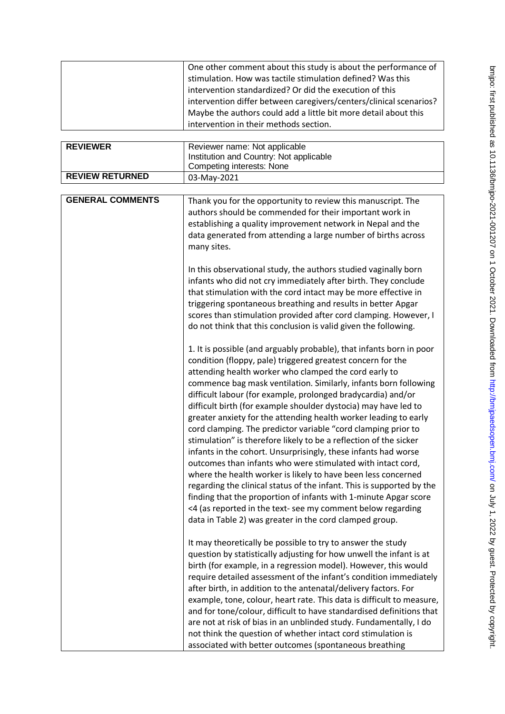| <b>REVIEWER</b><br><b>REVIEW RETURNED</b> | One other comment about this study is about the performance of<br>stimulation. How was tactile stimulation defined? Was this<br>intervention standardized? Or did the execution of this<br>intervention differ between caregivers/centers/clinical scenarios?<br>Maybe the authors could add a little bit more detail about this<br>intervention in their methods section.<br>Reviewer name: Not applicable<br>Institution and Country: Not applicable<br><b>Competing interests: None</b><br>03-May-2021                                                                                                                                                                                                                                                                                                                                                                                                                                                                                                                                                                                                                                                                                                                                                                                                                                                                                                                                                                                                                                                                                                                                                                                                                                                                                                                                                                                                                                                                                                                                                                                                                                                                                                                                                                                                                                                                                                                                                                        |
|-------------------------------------------|----------------------------------------------------------------------------------------------------------------------------------------------------------------------------------------------------------------------------------------------------------------------------------------------------------------------------------------------------------------------------------------------------------------------------------------------------------------------------------------------------------------------------------------------------------------------------------------------------------------------------------------------------------------------------------------------------------------------------------------------------------------------------------------------------------------------------------------------------------------------------------------------------------------------------------------------------------------------------------------------------------------------------------------------------------------------------------------------------------------------------------------------------------------------------------------------------------------------------------------------------------------------------------------------------------------------------------------------------------------------------------------------------------------------------------------------------------------------------------------------------------------------------------------------------------------------------------------------------------------------------------------------------------------------------------------------------------------------------------------------------------------------------------------------------------------------------------------------------------------------------------------------------------------------------------------------------------------------------------------------------------------------------------------------------------------------------------------------------------------------------------------------------------------------------------------------------------------------------------------------------------------------------------------------------------------------------------------------------------------------------------------------------------------------------------------------------------------------------------|
| <b>GENERAL COMMENTS</b>                   | Thank you for the opportunity to review this manuscript. The<br>authors should be commended for their important work in<br>establishing a quality improvement network in Nepal and the<br>data generated from attending a large number of births across<br>many sites.<br>In this observational study, the authors studied vaginally born<br>infants who did not cry immediately after birth. They conclude<br>that stimulation with the cord intact may be more effective in<br>triggering spontaneous breathing and results in better Apgar<br>scores than stimulation provided after cord clamping. However, I<br>do not think that this conclusion is valid given the following.<br>1. It is possible (and arguably probable), that infants born in poor<br>condition (floppy, pale) triggered greatest concern for the<br>attending health worker who clamped the cord early to<br>commence bag mask ventilation. Similarly, infants born following<br>difficult labour (for example, prolonged bradycardia) and/or<br>difficult birth (for example shoulder dystocia) may have led to<br>greater anxiety for the attending health worker leading to early<br>cord clamping. The predictor variable "cord clamping prior to<br>stimulation" is therefore likely to be a reflection of the sicker<br>infants in the cohort. Unsurprisingly, these infants had worse<br>outcomes than infants who were stimulated with intact cord,<br>where the health worker is likely to have been less concerned<br>regarding the clinical status of the infant. This is supported by the<br>finding that the proportion of infants with 1-minute Apgar score<br><4 (as reported in the text- see my comment below regarding<br>data in Table 2) was greater in the cord clamped group.<br>It may theoretically be possible to try to answer the study<br>question by statistically adjusting for how unwell the infant is at<br>birth (for example, in a regression model). However, this would<br>require detailed assessment of the infant's condition immediately<br>after birth, in addition to the antenatal/delivery factors. For<br>example, tone, colour, heart rate. This data is difficult to measure,<br>and for tone/colour, difficult to have standardised definitions that<br>are not at risk of bias in an unblinded study. Fundamentally, I do<br>not think the question of whether intact cord stimulation is<br>associated with better outcomes (spontaneous breathing |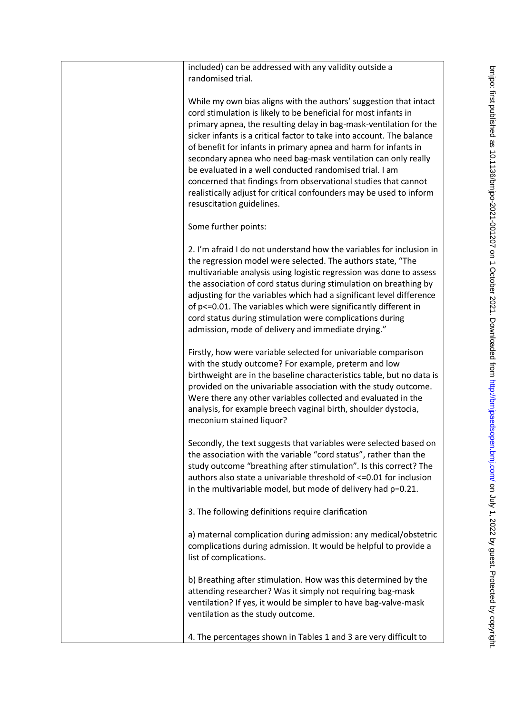| included) can be addressed with any validity outside a<br>randomised trial.                                                                                                                                                                                                                                                                                                                                                                                                                                                                                                                                                                              |
|----------------------------------------------------------------------------------------------------------------------------------------------------------------------------------------------------------------------------------------------------------------------------------------------------------------------------------------------------------------------------------------------------------------------------------------------------------------------------------------------------------------------------------------------------------------------------------------------------------------------------------------------------------|
| While my own bias aligns with the authors' suggestion that intact<br>cord stimulation is likely to be beneficial for most infants in<br>primary apnea, the resulting delay in bag-mask-ventilation for the<br>sicker infants is a critical factor to take into account. The balance<br>of benefit for infants in primary apnea and harm for infants in<br>secondary apnea who need bag-mask ventilation can only really<br>be evaluated in a well conducted randomised trial. I am<br>concerned that findings from observational studies that cannot<br>realistically adjust for critical confounders may be used to inform<br>resuscitation guidelines. |
| Some further points:                                                                                                                                                                                                                                                                                                                                                                                                                                                                                                                                                                                                                                     |
| 2. I'm afraid I do not understand how the variables for inclusion in<br>the regression model were selected. The authors state, "The<br>multivariable analysis using logistic regression was done to assess<br>the association of cord status during stimulation on breathing by<br>adjusting for the variables which had a significant level difference<br>of p<=0.01. The variables which were significantly different in<br>cord status during stimulation were complications during<br>admission, mode of delivery and immediate drying."                                                                                                             |
| Firstly, how were variable selected for univariable comparison<br>with the study outcome? For example, preterm and low<br>birthweight are in the baseline characteristics table, but no data is<br>provided on the univariable association with the study outcome.<br>Were there any other variables collected and evaluated in the<br>analysis, for example breech vaginal birth, shoulder dystocia,<br>meconium stained liquor?                                                                                                                                                                                                                        |
| Secondly, the text suggests that variables were selected based on<br>the association with the variable "cord status", rather than the<br>study outcome "breathing after stimulation". Is this correct? The<br>authors also state a univariable threshold of <= 0.01 for inclusion<br>in the multivariable model, but mode of delivery had p=0.21.                                                                                                                                                                                                                                                                                                        |
| 3. The following definitions require clarification                                                                                                                                                                                                                                                                                                                                                                                                                                                                                                                                                                                                       |
| a) maternal complication during admission: any medical/obstetric<br>complications during admission. It would be helpful to provide a<br>list of complications.                                                                                                                                                                                                                                                                                                                                                                                                                                                                                           |
| b) Breathing after stimulation. How was this determined by the<br>attending researcher? Was it simply not requiring bag-mask<br>ventilation? If yes, it would be simpler to have bag-valve-mask<br>ventilation as the study outcome.                                                                                                                                                                                                                                                                                                                                                                                                                     |
| 4. The percentages shown in Tables 1 and 3 are very difficult to                                                                                                                                                                                                                                                                                                                                                                                                                                                                                                                                                                                         |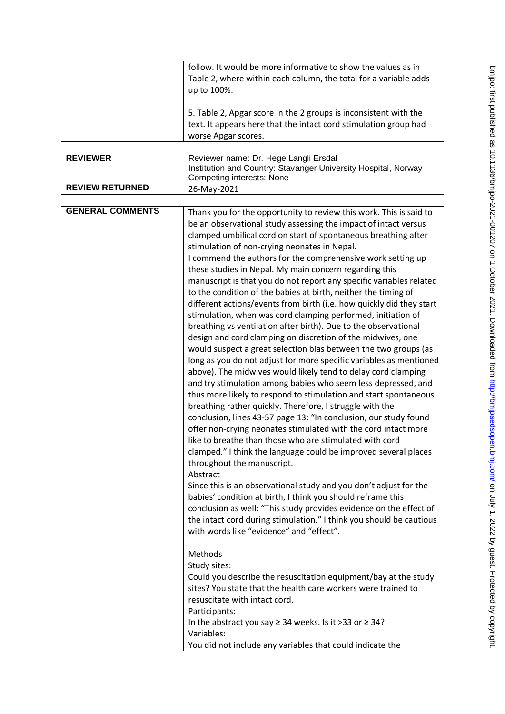| follow. It would be more informative to show the values as in<br>Table 2, where within each column, the total for a variable adds<br>up to 100%.            |
|-------------------------------------------------------------------------------------------------------------------------------------------------------------|
| 5. Table 2, Apgar score in the 2 groups is inconsistent with the<br>text. It appears here that the intact cord stimulation group had<br>worse Apgar scores. |

| <b>REVIEWER</b>        | Reviewer name: Dr. Hege Langli Ersdal                          |
|------------------------|----------------------------------------------------------------|
|                        | Institution and Country: Stavanger University Hospital, Norway |
|                        | Competing interests: None                                      |
| <b>REVIEW RETURNED</b> | 26-May-2021                                                    |

| <b>GENERAL COMMENTS</b><br>Thank you for the opportunity to review this work. This is said to<br>be an observational study assessing the impact of intact versus<br>clamped umbilical cord on start of spontaneous breathing after<br>stimulation of non-crying neonates in Nepal.<br>I commend the authors for the comprehensive work setting up<br>these studies in Nepal. My main concern regarding this<br>manuscript is that you do not report any specific variables related<br>to the condition of the babies at birth, neither the timing of<br>different actions/events from birth (i.e. how quickly did they start<br>stimulation, when was cord clamping performed, initiation of<br>breathing vs ventilation after birth). Due to the observational<br>design and cord clamping on discretion of the midwives, one<br>would suspect a great selection bias between the two groups (as<br>long as you do not adjust for more specific variables as mentioned<br>above). The midwives would likely tend to delay cord clamping<br>and try stimulation among babies who seem less depressed, and<br>thus more likely to respond to stimulation and start spontaneous<br>breathing rather quickly. Therefore, I struggle with the<br>conclusion, lines 43-57 page 13: "In conclusion, our study found<br>offer non-crying neonates stimulated with the cord intact more<br>like to breathe than those who are stimulated with cord<br>clamped." I think the language could be improved several places<br>throughout the manuscript.<br>Abstract<br>Since this is an observational study and you don't adjust for the<br>babies' condition at birth, I think you should reframe this<br>conclusion as well: "This study provides evidence on the effect of<br>the intact cord during stimulation." I think you should be cautious |
|------------------------------------------------------------------------------------------------------------------------------------------------------------------------------------------------------------------------------------------------------------------------------------------------------------------------------------------------------------------------------------------------------------------------------------------------------------------------------------------------------------------------------------------------------------------------------------------------------------------------------------------------------------------------------------------------------------------------------------------------------------------------------------------------------------------------------------------------------------------------------------------------------------------------------------------------------------------------------------------------------------------------------------------------------------------------------------------------------------------------------------------------------------------------------------------------------------------------------------------------------------------------------------------------------------------------------------------------------------------------------------------------------------------------------------------------------------------------------------------------------------------------------------------------------------------------------------------------------------------------------------------------------------------------------------------------------------------------------------------------------------------------------------------------------------------------------------------|
| with words like "evidence" and "effect".<br>Methods<br>Study sites:<br>Could you describe the resuscitation equipment/bay at the study<br>sites? You state that the health care workers were trained to<br>resuscitate with intact cord.<br>Participants:<br>In the abstract you say $\geq$ 34 weeks. Is it > 33 or $\geq$ 34?<br>Variables:                                                                                                                                                                                                                                                                                                                                                                                                                                                                                                                                                                                                                                                                                                                                                                                                                                                                                                                                                                                                                                                                                                                                                                                                                                                                                                                                                                                                                                                                                             |
| You did not include any variables that could indicate the                                                                                                                                                                                                                                                                                                                                                                                                                                                                                                                                                                                                                                                                                                                                                                                                                                                                                                                                                                                                                                                                                                                                                                                                                                                                                                                                                                                                                                                                                                                                                                                                                                                                                                                                                                                |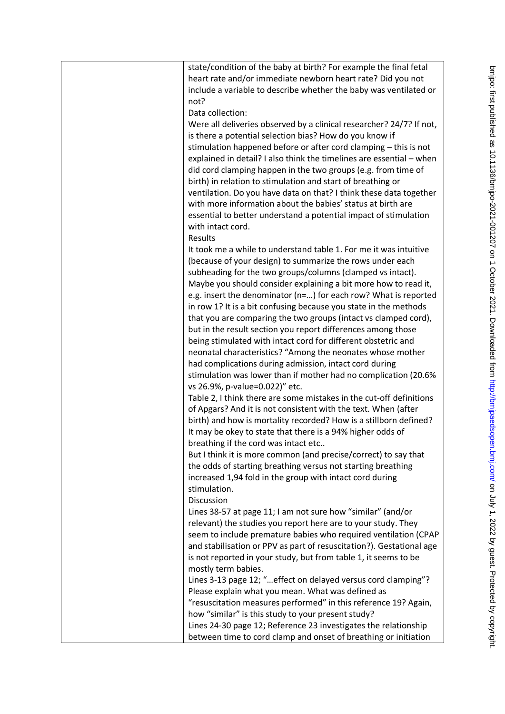| state/condition of the baby at birth? For example the final fetal<br>heart rate and/or immediate newborn heart rate? Did you not<br>include a variable to describe whether the baby was ventilated or<br>not?<br>Data collection:                                                                                                                                                                                                                                                                                                                                                                                                                                                                                                                                                                                                       |
|-----------------------------------------------------------------------------------------------------------------------------------------------------------------------------------------------------------------------------------------------------------------------------------------------------------------------------------------------------------------------------------------------------------------------------------------------------------------------------------------------------------------------------------------------------------------------------------------------------------------------------------------------------------------------------------------------------------------------------------------------------------------------------------------------------------------------------------------|
| Were all deliveries observed by a clinical researcher? 24/7? If not,<br>is there a potential selection bias? How do you know if<br>stimulation happened before or after cord clamping - this is not<br>explained in detail? I also think the timelines are essential - when<br>did cord clamping happen in the two groups (e.g. from time of<br>birth) in relation to stimulation and start of breathing or<br>ventilation. Do you have data on that? I think these data together<br>with more information about the babies' status at birth are<br>essential to better understand a potential impact of stimulation<br>with intact cord.<br>Results                                                                                                                                                                                    |
| It took me a while to understand table 1. For me it was intuitive<br>(because of your design) to summarize the rows under each<br>subheading for the two groups/columns (clamped vs intact).<br>Maybe you should consider explaining a bit more how to read it,<br>e.g. insert the denominator (n=) for each row? What is reported<br>in row 1? It is a bit confusing because you state in the methods<br>that you are comparing the two groups (intact vs clamped cord),<br>but in the result section you report differences among those<br>being stimulated with intact cord for different obstetric and<br>neonatal characteristics? "Among the neonates whose mother<br>had complications during admission, intact cord during<br>stimulation was lower than if mother had no complication (20.6%<br>vs 26.9%, p-value=0.022)" etc. |
| Table 2, I think there are some mistakes in the cut-off definitions<br>of Apgars? And it is not consistent with the text. When (after<br>birth) and how is mortality recorded? How is a stillborn defined?<br>It may be okey to state that there is a 94% higher odds of<br>breathing if the cord was intact etc<br>But I think it is more common (and precise/correct) to say that<br>the odds of starting breathing versus not starting breathing<br>increased 1,94 fold in the group with intact cord during<br>stimulation.                                                                                                                                                                                                                                                                                                         |
| Discussion<br>Lines 38-57 at page 11; I am not sure how "similar" (and/or<br>relevant) the studies you report here are to your study. They<br>seem to include premature babies who required ventilation (CPAP<br>and stabilisation or PPV as part of resuscitation?). Gestational age<br>is not reported in your study, but from table 1, it seems to be<br>mostly term babies.<br>Lines 3-13 page 12; "effect on delayed versus cord clamping"?<br>Please explain what you mean. What was defined as<br>"resuscitation measures performed" in this reference 19? Again,<br>how "similar" is this study to your present study?<br>Lines 24-30 page 12; Reference 23 investigates the relationship<br>between time to cord clamp and onset of breathing or initiation                                                                    |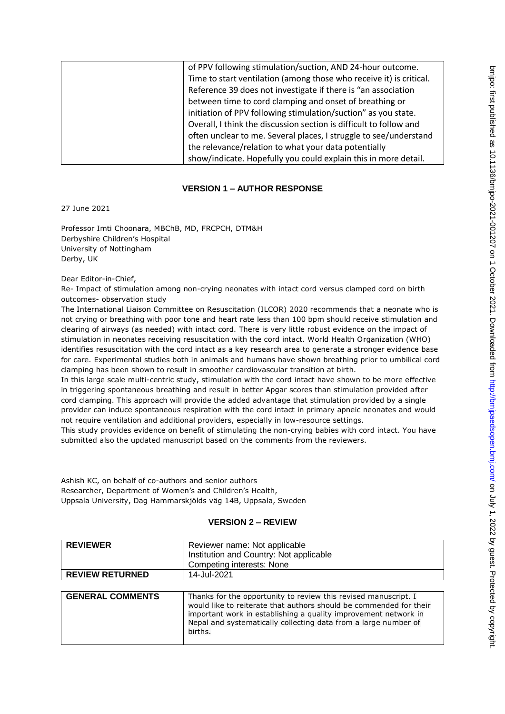| of PPV following stimulation/suction, AND 24-hour outcome.          |
|---------------------------------------------------------------------|
| Time to start ventilation (among those who receive it) is critical. |
| Reference 39 does not investigate if there is "an association       |
| between time to cord clamping and onset of breathing or             |
| initiation of PPV following stimulation/suction" as you state.      |
| Overall, I think the discussion section is difficult to follow and  |
| often unclear to me. Several places, I struggle to see/understand   |
| the relevance/relation to what your data potentially                |
| show/indicate. Hopefully you could explain this in more detail.     |

### **VERSION 1 – AUTHOR RESPONSE**

27 June 2021

Professor Imti Choonara, MBChB, MD, FRCPCH, DTM&H Derbyshire Children's Hospital University of Nottingham Derby, UK

Dear Editor-in-Chief,

Re- Impact of stimulation among non-crying neonates with intact cord versus clamped cord on birth outcomes- observation study

The International Liaison Committee on Resuscitation (ILCOR) 2020 recommends that a neonate who is not crying or breathing with poor tone and heart rate less than 100 bpm should receive stimulation and clearing of airways (as needed) with intact cord. There is very little robust evidence on the impact of stimulation in neonates receiving resuscitation with the cord intact. World Health Organization (WHO) identifies resuscitation with the cord intact as a key research area to generate a stronger evidence base for care. Experimental studies both in animals and humans have shown breathing prior to umbilical cord clamping has been shown to result in smoother cardiovascular transition at birth.

In this large scale multi-centric study, stimulation with the cord intact have shown to be more effective in triggering spontaneous breathing and result in better Apgar scores than stimulation provided after cord clamping. This approach will provide the added advantage that stimulation provided by a single provider can induce spontaneous respiration with the cord intact in primary apneic neonates and would not require ventilation and additional providers, especially in low-resource settings.

This study provides evidence on benefit of stimulating the non-crying babies with cord intact. You have submitted also the updated manuscript based on the comments from the reviewers.

Ashish KC, on behalf of co-authors and senior authors Researcher, Department of Women's and Children's Health, Uppsala University, Dag Hammarskjölds väg 14B, Uppsala, Sweden

#### **VERSION 2 – REVIEW**

| <b>REVIEWER</b>         | Reviewer name: Not applicable                                                                                                                                                                                                                                                          |
|-------------------------|----------------------------------------------------------------------------------------------------------------------------------------------------------------------------------------------------------------------------------------------------------------------------------------|
|                         | Institution and Country: Not applicable                                                                                                                                                                                                                                                |
|                         | Competing interests: None                                                                                                                                                                                                                                                              |
| <b>REVIEW RETURNED</b>  | 14-Jul-2021                                                                                                                                                                                                                                                                            |
|                         |                                                                                                                                                                                                                                                                                        |
| <b>GENERAL COMMENTS</b> | Thanks for the opportunity to review this revised manuscript. I<br>would like to reiterate that authors should be commended for their<br>important work in establishing a quality improvement network in<br>Nepal and systematically collecting data from a large number of<br>births. |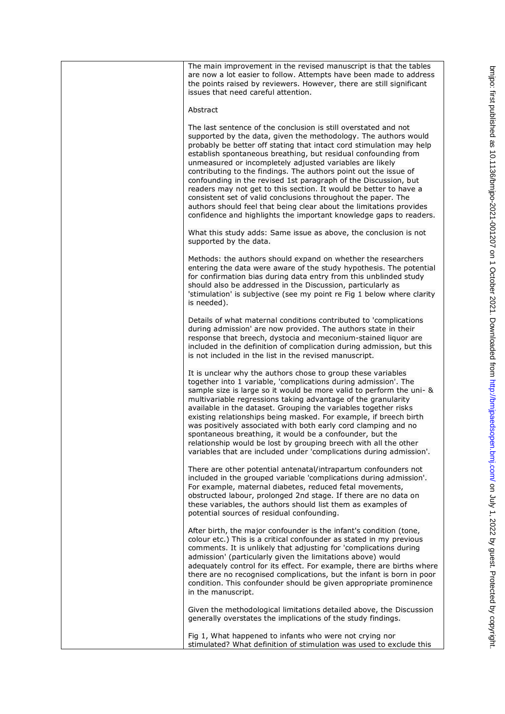| The main improvement in the revised manuscript is that the tables<br>are now a lot easier to follow. Attempts have been made to address<br>the points raised by reviewers. However, there are still significant<br>issues that need careful attention.                                                                                                                                                                                                                                                                                                                                                                                                                                                                                                             |
|--------------------------------------------------------------------------------------------------------------------------------------------------------------------------------------------------------------------------------------------------------------------------------------------------------------------------------------------------------------------------------------------------------------------------------------------------------------------------------------------------------------------------------------------------------------------------------------------------------------------------------------------------------------------------------------------------------------------------------------------------------------------|
| Abstract                                                                                                                                                                                                                                                                                                                                                                                                                                                                                                                                                                                                                                                                                                                                                           |
| The last sentence of the conclusion is still overstated and not<br>supported by the data, given the methodology. The authors would<br>probably be better off stating that intact cord stimulation may help<br>establish spontaneous breathing, but residual confounding from<br>unmeasured or incompletely adjusted variables are likely<br>contributing to the findings. The authors point out the issue of<br>confounding in the revised 1st paragraph of the Discussion, but<br>readers may not get to this section. It would be better to have a<br>consistent set of valid conclusions throughout the paper. The<br>authors should feel that being clear about the limitations provides<br>confidence and highlights the important knowledge gaps to readers. |
| What this study adds: Same issue as above, the conclusion is not<br>supported by the data.                                                                                                                                                                                                                                                                                                                                                                                                                                                                                                                                                                                                                                                                         |
| Methods: the authors should expand on whether the researchers<br>entering the data were aware of the study hypothesis. The potential<br>for confirmation bias during data entry from this unblinded study<br>should also be addressed in the Discussion, particularly as<br>'stimulation' is subjective (see my point re Fig 1 below where clarity<br>is needed).                                                                                                                                                                                                                                                                                                                                                                                                  |
| Details of what maternal conditions contributed to 'complications<br>during admission' are now provided. The authors state in their<br>response that breech, dystocia and meconium-stained liquor are<br>included in the definition of complication during admission, but this<br>is not included in the list in the revised manuscript.                                                                                                                                                                                                                                                                                                                                                                                                                           |
| It is unclear why the authors chose to group these variables<br>together into 1 variable, 'complications during admission'. The<br>sample size is large so it would be more valid to perform the uni- &<br>multivariable regressions taking advantage of the granularity<br>available in the dataset. Grouping the variables together risks<br>existing relationships being masked. For example, if breech birth<br>was positively associated with both early cord clamping and no<br>spontaneous breathing, it would be a confounder, but the<br>relationship would be lost by grouping breech with all the other<br>variables that are included under 'complications during admission'.                                                                          |
| There are other potential antenatal/intrapartum confounders not<br>included in the grouped variable 'complications during admission'.<br>For example, maternal diabetes, reduced fetal movements,<br>obstructed labour, prolonged 2nd stage. If there are no data on<br>these variables, the authors should list them as examples of<br>potential sources of residual confounding.                                                                                                                                                                                                                                                                                                                                                                                 |
| After birth, the major confounder is the infant's condition (tone,<br>colour etc.) This is a critical confounder as stated in my previous<br>comments. It is unlikely that adjusting for 'complications during<br>admission' (particularly given the limitations above) would<br>adequately control for its effect. For example, there are births where<br>there are no recognised complications, but the infant is born in poor<br>condition. This confounder should be given appropriate prominence<br>in the manuscript.                                                                                                                                                                                                                                        |
| Given the methodological limitations detailed above, the Discussion<br>generally overstates the implications of the study findings.                                                                                                                                                                                                                                                                                                                                                                                                                                                                                                                                                                                                                                |
| Fig 1, What happened to infants who were not crying nor<br>stimulated? What definition of stimulation was used to exclude this                                                                                                                                                                                                                                                                                                                                                                                                                                                                                                                                                                                                                                     |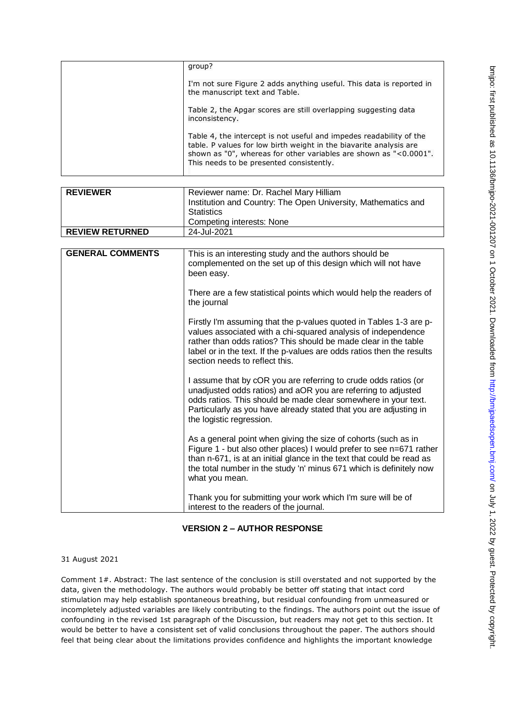|  | group?                                                                                                                                                                                                                                                     |
|--|------------------------------------------------------------------------------------------------------------------------------------------------------------------------------------------------------------------------------------------------------------|
|  | I'm not sure Figure 2 adds anything useful. This data is reported in<br>the manuscript text and Table.                                                                                                                                                     |
|  | Table 2, the Apgar scores are still overlapping suggesting data<br>inconsistency.                                                                                                                                                                          |
|  | Table 4, the intercept is not useful and impedes readability of the<br>table. P values for low birth weight in the biavarite analysis are<br>shown as "0", whereas for other variables are shown as "<0.0001".<br>This needs to be presented consistently. |

| <b>REVIEWER</b>         | Reviewer name: Dr. Rachel Mary Hilliam<br>Institution and Country: The Open University, Mathematics and                                                                                                                                                                                                            |
|-------------------------|--------------------------------------------------------------------------------------------------------------------------------------------------------------------------------------------------------------------------------------------------------------------------------------------------------------------|
|                         | <b>Statistics</b>                                                                                                                                                                                                                                                                                                  |
|                         | <b>Competing interests: None</b>                                                                                                                                                                                                                                                                                   |
| <b>REVIEW RETURNED</b>  | 24-Jul-2021                                                                                                                                                                                                                                                                                                        |
|                         |                                                                                                                                                                                                                                                                                                                    |
| <b>GENERAL COMMENTS</b> | This is an interesting study and the authors should be<br>complemented on the set up of this design which will not have<br>been easy.                                                                                                                                                                              |
|                         | There are a few statistical points which would help the readers of<br>the journal                                                                                                                                                                                                                                  |
|                         | Firstly I'm assuming that the p-values quoted in Tables 1-3 are p-<br>values associated with a chi-squared analysis of independence<br>rather than odds ratios? This should be made clear in the table<br>label or in the text. If the p-values are odds ratios then the results<br>section needs to reflect this. |
|                         | I assume that by cOR you are referring to crude odds ratios (or<br>unadjusted odds ratios) and aOR you are referring to adjusted<br>odds ratios. This should be made clear somewhere in your text.<br>Particularly as you have already stated that you are adjusting in<br>the logistic regression.                |
|                         | As a general point when giving the size of cohorts (such as in<br>Figure 1 - but also other places) I would prefer to see n=671 rather<br>than n-671, is at an initial glance in the text that could be read as<br>the total number in the study 'n' minus 671 which is definitely now<br>what you mean.           |
|                         | Thank you for submitting your work which I'm sure will be of<br>interest to the readers of the journal.                                                                                                                                                                                                            |

## **VERSION 2 – AUTHOR RESPONSE**

#### 31 August 2021

Comment 1#. Abstract: The last sentence of the conclusion is still overstated and not supported by the data, given the methodology. The authors would probably be better off stating that intact cord stimulation may help establish spontaneous breathing, but residual confounding from unmeasured or incompletely adjusted variables are likely contributing to the findings. The authors point out the issue of confounding in the revised 1st paragraph of the Discussion, but readers may not get to this section. It would be better to have a consistent set of valid conclusions throughout the paper. The authors should feel that being clear about the limitations provides confidence and highlights the important knowledge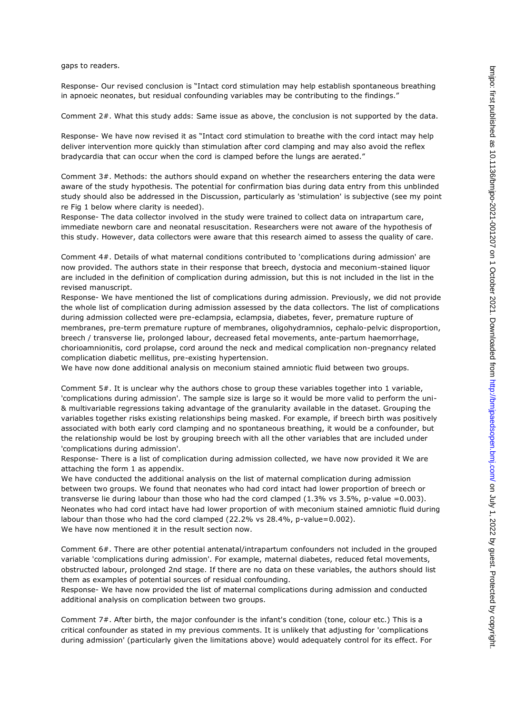gaps to readers.

Response- Our revised conclusion is "Intact cord stimulation may help establish spontaneous breathing in apnoeic neonates, but residual confounding variables may be contributing to the findings."

Comment 2#. What this study adds: Same issue as above, the conclusion is not supported by the data.

Response- We have now revised it as "Intact cord stimulation to breathe with the cord intact may help deliver intervention more quickly than stimulation after cord clamping and may also avoid the reflex bradycardia that can occur when the cord is clamped before the lungs are aerated."

Comment 3#. Methods: the authors should expand on whether the researchers entering the data were aware of the study hypothesis. The potential for confirmation bias during data entry from this unblinded study should also be addressed in the Discussion, particularly as 'stimulation' is subjective (see my point re Fig 1 below where clarity is needed).

Response- The data collector involved in the study were trained to collect data on intrapartum care, immediate newborn care and neonatal resuscitation. Researchers were not aware of the hypothesis of this study. However, data collectors were aware that this research aimed to assess the quality of care.

Comment 4#. Details of what maternal conditions contributed to 'complications during admission' are now provided. The authors state in their response that breech, dystocia and meconium-stained liquor are included in the definition of complication during admission, but this is not included in the list in the revised manuscript.

Response- We have mentioned the list of complications during admission. Previously, we did not provide the whole list of complication during admission assessed by the data collectors. The list of complications during admission collected were pre-eclampsia, eclampsia, diabetes, fever, premature rupture of membranes, pre-term premature rupture of membranes, oligohydramnios, cephalo-pelvic disproportion, breech / transverse lie, prolonged labour, decreased fetal movements, ante-partum haemorrhage, chorioamnionitis, cord prolapse, cord around the neck and medical complication non-pregnancy related complication diabetic mellitus, pre-existing hypertension.

We have now done additional analysis on meconium stained amniotic fluid between two groups.

Comment 5#. It is unclear why the authors chose to group these variables together into 1 variable, 'complications during admission'. The sample size is large so it would be more valid to perform the uni- & multivariable regressions taking advantage of the granularity available in the dataset. Grouping the variables together risks existing relationships being masked. For example, if breech birth was positively associated with both early cord clamping and no spontaneous breathing, it would be a confounder, but the relationship would be lost by grouping breech with all the other variables that are included under 'complications during admission'.

Response- There is a list of complication during admission collected, we have now provided it We are attaching the form 1 as appendix.

We have conducted the additional analysis on the list of maternal complication during admission between two groups. We found that neonates who had cord intact had lower proportion of breech or transverse lie during labour than those who had the cord clamped  $(1.3\%$  vs  $3.5\%$ , p-value =0.003). Neonates who had cord intact have had lower proportion of with meconium stained amniotic fluid during labour than those who had the cord clamped (22.2% vs 28.4%, p-value=0.002). We have now mentioned it in the result section now.

Comment 6#. There are other potential antenatal/intrapartum confounders not included in the grouped variable 'complications during admission'. For example, maternal diabetes, reduced fetal movements, obstructed labour, prolonged 2nd stage. If there are no data on these variables, the authors should list them as examples of potential sources of residual confounding.

Response- We have now provided the list of maternal complications during admission and conducted additional analysis on complication between two groups.

Comment 7#. After birth, the major confounder is the infant's condition (tone, colour etc.) This is a critical confounder as stated in my previous comments. It is unlikely that adjusting for 'complications during admission' (particularly given the limitations above) would adequately control for its effect. For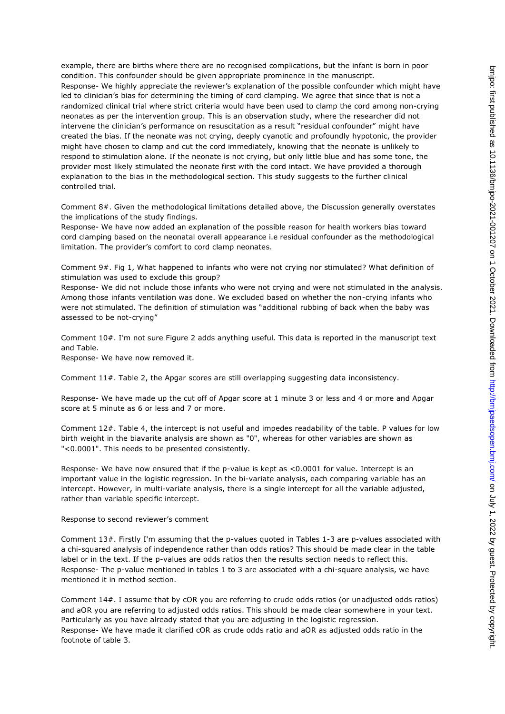example, there are births where there are no recognised complications, but the infant is born in poor condition. This confounder should be given appropriate prominence in the manuscript. Response- We highly appreciate the reviewer's explanation of the possible confounder which might have led to clinician's bias for determining the timing of cord clamping. We agree that since that is not a randomized clinical trial where strict criteria would have been used to clamp the cord among non-crying neonates as per the intervention group. This is an observation study, where the researcher did not intervene the clinician's performance on resuscitation as a result "residual confounder" might have created the bias. If the neonate was not crying, deeply cyanotic and profoundly hypotonic, the provider might have chosen to clamp and cut the cord immediately, knowing that the neonate is unlikely to respond to stimulation alone. If the neonate is not crying, but only little blue and has some tone, the provider most likely stimulated the neonate first with the cord intact. We have provided a thorough explanation to the bias in the methodological section. This study suggests to the further clinical controlled trial.

Comment 8#. Given the methodological limitations detailed above, the Discussion generally overstates the implications of the study findings.

Response- We have now added an explanation of the possible reason for health workers bias toward cord clamping based on the neonatal overall appearance i.e residual confounder as the methodological limitation. The provider's comfort to cord clamp neonates.

Comment 9#. Fig 1, What happened to infants who were not crying nor stimulated? What definition of stimulation was used to exclude this group?

Response- We did not include those infants who were not crying and were not stimulated in the analysis. Among those infants ventilation was done. We excluded based on whether the non-crying infants who were not stimulated. The definition of stimulation was "additional rubbing of back when the baby was assessed to be not-crying"

Comment 10#. I'm not sure Figure 2 adds anything useful. This data is reported in the manuscript text and Table.

Response- We have now removed it.

Comment 11#. Table 2, the Apgar scores are still overlapping suggesting data inconsistency.

Response- We have made up the cut off of Apgar score at 1 minute 3 or less and 4 or more and Apgar score at 5 minute as 6 or less and 7 or more.

Comment 12#. Table 4, the intercept is not useful and impedes readability of the table. P values for low birth weight in the biavarite analysis are shown as "0", whereas for other variables are shown as "<0.0001". This needs to be presented consistently.

Response- We have now ensured that if the p-value is kept as <0.0001 for value. Intercept is an important value in the logistic regression. In the bi-variate analysis, each comparing variable has an intercept. However, in multi-variate analysis, there is a single intercept for all the variable adjusted, rather than variable specific intercept.

#### Response to second reviewer's comment

Comment 13#. Firstly I'm assuming that the p-values quoted in Tables 1-3 are p-values associated with a chi-squared analysis of independence rather than odds ratios? This should be made clear in the table label or in the text. If the p-values are odds ratios then the results section needs to reflect this. Response- The p-value mentioned in tables 1 to 3 are associated with a chi-square analysis, we have mentioned it in method section.

Comment 14#. I assume that by cOR you are referring to crude odds ratios (or unadjusted odds ratios) and aOR you are referring to adjusted odds ratios. This should be made clear somewhere in your text. Particularly as you have already stated that you are adjusting in the logistic regression. Response- We have made it clarified cOR as crude odds ratio and aOR as adjusted odds ratio in the footnote of table 3.